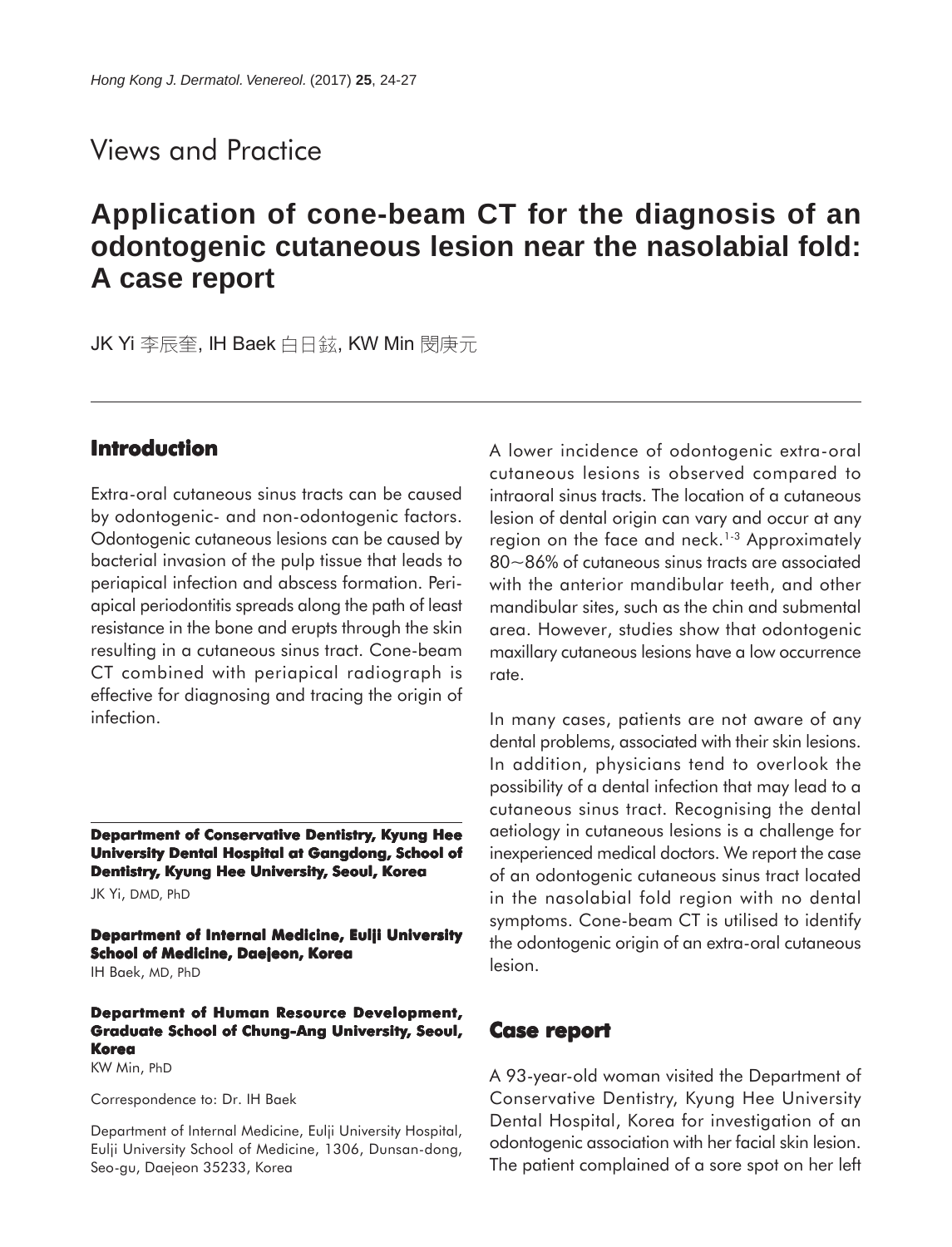# Views and Practice

# **Application of cone-beam CT for the diagnosis of an odontogenic cutaneous lesion near the nasolabial fold: A case report**

JK Yi 李辰奎, IH Baek 白日鉉, KW Min 閔庚元

# **Introduction**

Extra-oral cutaneous sinus tracts can be caused by odontogenic- and non-odontogenic factors. Odontogenic cutaneous lesions can be caused by bacterial invasion of the pulp tissue that leads to periapical infection and abscess formation. Periapical periodontitis spreads along the path of least resistance in the bone and erupts through the skin resulting in a cutaneous sinus tract. Cone-beam CT combined with periapical radiograph is effective for diagnosing and tracing the origin of infection.

**Department of Conservative Dentistry, Kyung Hee University Dental Hospital at Gangdong, School of Dentistry, Kyung Hee University, Seoul, Korea**

JK Yi, DMD, PhD

**Department of Internal Medicine, Eulji University School of Medicine, Daejeon, Korea** IH Baek, MD, PhD

#### **Department of Human Resource Development, Graduate School of Chung-Ang University, Seoul, Korea**

KW Min, PhD

Correspondence to: Dr. IH Baek

Department of Internal Medicine, Eulji University Hospital, Eulji University School of Medicine, 1306, Dunsan-dong, Seo-gu, Daejeon 35233, Korea

A lower incidence of odontogenic extra-oral cutaneous lesions is observed compared to intraoral sinus tracts. The location of a cutaneous lesion of dental origin can vary and occur at any region on the face and neck.<sup>1-3</sup> Approximately 80~86% of cutaneous sinus tracts are associated with the anterior mandibular teeth, and other mandibular sites, such as the chin and submental area. However, studies show that odontogenic maxillary cutaneous lesions have a low occurrence rate.

In many cases, patients are not aware of any dental problems, associated with their skin lesions. In addition, physicians tend to overlook the possibility of a dental infection that may lead to a cutaneous sinus tract. Recognising the dental aetiology in cutaneous lesions is a challenge for inexperienced medical doctors. We report the case of an odontogenic cutaneous sinus tract located in the nasolabial fold region with no dental symptoms. Cone-beam CT is utilised to identify the odontogenic origin of an extra-oral cutaneous lesion.

### **Case report**

A 93-year-old woman visited the Department of Conservative Dentistry, Kyung Hee University Dental Hospital, Korea for investigation of an odontogenic association with her facial skin lesion. The patient complained of a sore spot on her left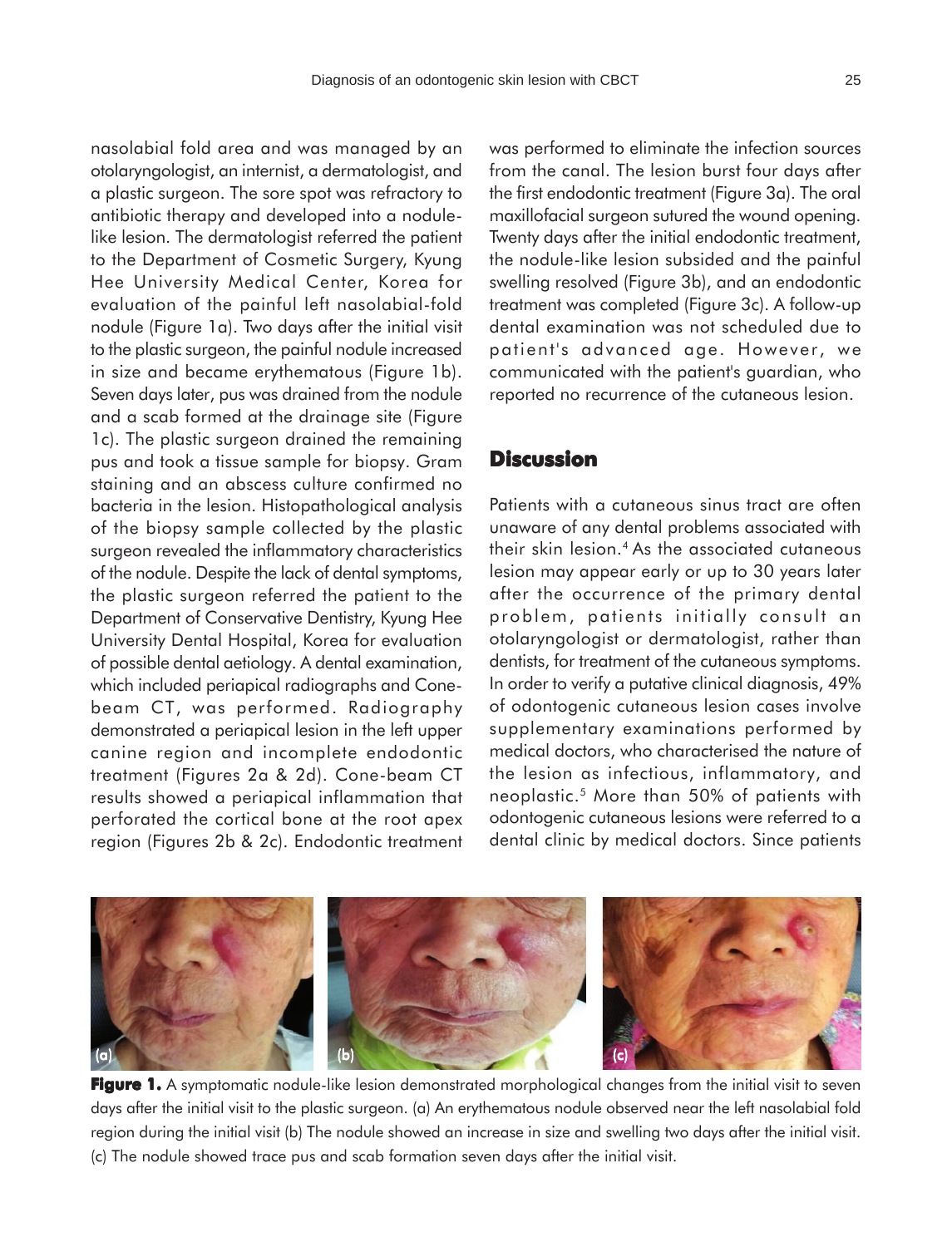nasolabial fold area and was managed by an otolaryngologist, an internist, a dermatologist, and a plastic surgeon. The sore spot was refractory to antibiotic therapy and developed into a nodulelike lesion. The dermatologist referred the patient to the Department of Cosmetic Surgery, Kyung Hee University Medical Center, Korea for evaluation of the painful left nasolabial-fold nodule (Figure 1a). Two days after the initial visit to the plastic surgeon, the painful nodule increased in size and became erythematous (Figure 1b). Seven days later, pus was drained from the nodule and a scab formed at the drainage site (Figure 1c). The plastic surgeon drained the remaining pus and took a tissue sample for biopsy. Gram staining and an abscess culture confirmed no bacteria in the lesion. Histopathological analysis of the biopsy sample collected by the plastic surgeon revealed the inflammatory characteristics of the nodule. Despite the lack of dental symptoms, the plastic surgeon referred the patient to the Department of Conservative Dentistry, Kyung Hee University Dental Hospital, Korea for evaluation of possible dental aetiology. A dental examination, which included periapical radiographs and Conebeam CT, was performed. Radiography demonstrated a periapical lesion in the left upper canine region and incomplete endodontic treatment (Figures 2a & 2d). Cone-beam CT results showed a periapical inflammation that perforated the cortical bone at the root apex region (Figures 2b & 2c). Endodontic treatment was performed to eliminate the infection sources from the canal. The lesion burst four days after the first endodontic treatment (Figure 3a). The oral maxillofacial surgeon sutured the wound opening. Twenty days after the initial endodontic treatment, the nodule-like lesion subsided and the painful swelling resolved (Figure 3b), and an endodontic treatment was completed (Figure 3c). A follow-up dental examination was not scheduled due to patient's advanced age. However, we communicated with the patient's guardian, who reported no recurrence of the cutaneous lesion.

#### **Discussion**

Patients with a cutaneous sinus tract are often unaware of any dental problems associated with their skin lesion.4 As the associated cutaneous lesion may appear early or up to 30 years later after the occurrence of the primary dental problem, patients initially consult an otolaryngologist or dermatologist, rather than dentists, for treatment of the cutaneous symptoms. In order to verify a putative clinical diagnosis, 49% of odontogenic cutaneous lesion cases involve supplementary examinations performed by medical doctors, who characterised the nature of the lesion as infectious, inflammatory, and neoplastic.5 More than 50% of patients with odontogenic cutaneous lesions were referred to a dental clinic by medical doctors. Since patients



**Figure 1.** A symptomatic nodule-like lesion demonstrated morphological changes from the initial visit to seven days after the initial visit to the plastic surgeon. (a) An erythematous nodule observed near the left nasolabial fold region during the initial visit (b) The nodule showed an increase in size and swelling two days after the initial visit. (c) The nodule showed trace pus and scab formation seven days after the initial visit.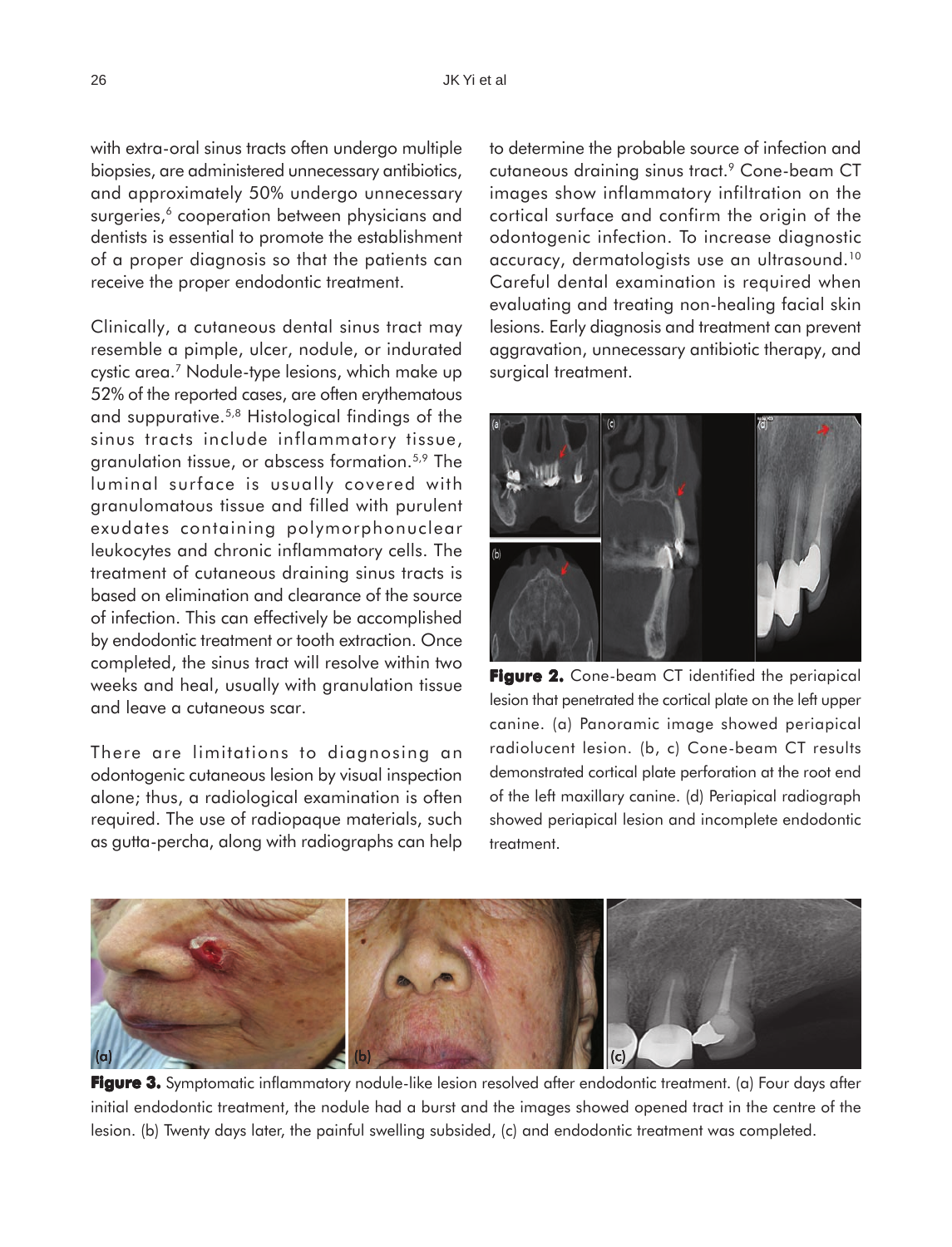with extra-oral sinus tracts often undergo multiple biopsies, are administered unnecessary antibiotics, and approximately 50% undergo unnecessary surgeries,<sup>6</sup> cooperation between physicians and dentists is essential to promote the establishment of a proper diagnosis so that the patients can receive the proper endodontic treatment.

Clinically, a cutaneous dental sinus tract may resemble a pimple, ulcer, nodule, or indurated cystic area.7 Nodule-type lesions, which make up 52% of the reported cases, are often erythematous and suppurative.5,8 Histological findings of the sinus tracts include inflammatory tissue, granulation tissue, or abscess formation.5,9 The luminal surface is usually covered with granulomatous tissue and filled with purulent exudates containing polymorphonuclear leukocytes and chronic inflammatory cells. The treatment of cutaneous draining sinus tracts is based on elimination and clearance of the source of infection. This can effectively be accomplished by endodontic treatment or tooth extraction. Once completed, the sinus tract will resolve within two weeks and heal, usually with granulation tissue and leave a cutaneous scar.

There are limitations to diagnosing an odontogenic cutaneous lesion by visual inspection alone; thus, a radiological examination is often required. The use of radiopaque materials, such as gutta-percha, along with radiographs can help to determine the probable source of infection and cutaneous draining sinus tract.9 Cone-beam CT images show inflammatory infiltration on the cortical surface and confirm the origin of the odontogenic infection. To increase diagnostic accuracy, dermatologists use an ultrasound.10 Careful dental examination is required when evaluating and treating non-healing facial skin lesions. Early diagnosis and treatment can prevent aggravation, unnecessary antibiotic therapy, and surgical treatment.



**Figure 2.** Cone-beam CT identified the periapical lesion that penetrated the cortical plate on the left upper canine. (a) Panoramic image showed periapical radiolucent lesion. (b, c) Cone-beam CT results demonstrated cortical plate perforation at the root end of the left maxillary canine. (d) Periapical radiograph showed periapical lesion and incomplete endodontic treatment.



**Figure 3.** Symptomatic inflammatory nodule-like lesion resolved after endodontic treatment. (a) Four days after initial endodontic treatment, the nodule had a burst and the images showed opened tract in the centre of the lesion. (b) Twenty days later, the painful swelling subsided, (c) and endodontic treatment was completed.